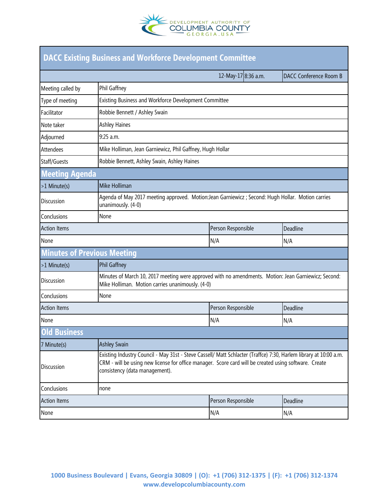

| <b>DACC Existing Business and Workforce Development Committee</b> |                                                                                                                                                                                                                                                              |                     |                        |  |
|-------------------------------------------------------------------|--------------------------------------------------------------------------------------------------------------------------------------------------------------------------------------------------------------------------------------------------------------|---------------------|------------------------|--|
|                                                                   |                                                                                                                                                                                                                                                              | 12-May-17 8:36 a.m. | DACC Conference Room B |  |
| Meeting called by                                                 | Phil Gaffney                                                                                                                                                                                                                                                 |                     |                        |  |
| Type of meeting                                                   | Existing Business and Workforce Development Committee                                                                                                                                                                                                        |                     |                        |  |
| Facilitator                                                       | Robbie Bennett / Ashley Swain                                                                                                                                                                                                                                |                     |                        |  |
| Note taker                                                        | <b>Ashley Haines</b>                                                                                                                                                                                                                                         |                     |                        |  |
| Adjourned                                                         | 9:25 a.m.                                                                                                                                                                                                                                                    |                     |                        |  |
| <b>Attendees</b>                                                  | Mike Holliman, Jean Garniewicz, Phil Gaffney, Hugh Hollar                                                                                                                                                                                                    |                     |                        |  |
| Staff/Guests                                                      | Robbie Bennett, Ashley Swain, Ashley Haines                                                                                                                                                                                                                  |                     |                        |  |
| <b>Meeting Agenda</b>                                             |                                                                                                                                                                                                                                                              |                     |                        |  |
| >1 Minute(s)                                                      | Mike Holliman                                                                                                                                                                                                                                                |                     |                        |  |
| <b>Discussion</b>                                                 | Agenda of May 2017 meeting approved. Motion:Jean Garniewicz; Second: Hugh Hollar. Motion carries<br>unanimously. (4-0)                                                                                                                                       |                     |                        |  |
| Conclusions                                                       | None                                                                                                                                                                                                                                                         |                     |                        |  |
| <b>Action Items</b>                                               |                                                                                                                                                                                                                                                              | Person Responsible  | Deadline               |  |
| None                                                              |                                                                                                                                                                                                                                                              | N/A                 | N/A                    |  |
| <b>Minutes of Previous Meeting</b>                                |                                                                                                                                                                                                                                                              |                     |                        |  |
| >1 Minute(s)                                                      | Phil Gaffney                                                                                                                                                                                                                                                 |                     |                        |  |
| <b>Discussion</b>                                                 | Minutes of March 10, 2017 meeting were approved with no amendments. Motion: Jean Garniewicz; Second:<br>Mike Holliman. Motion carries unanimously. (4-0)                                                                                                     |                     |                        |  |
| Conclusions                                                       | None                                                                                                                                                                                                                                                         |                     |                        |  |
| <b>Action Items</b>                                               |                                                                                                                                                                                                                                                              | Person Responsible  | Deadline               |  |
| None                                                              |                                                                                                                                                                                                                                                              | N/A                 | N/A                    |  |
| Old Business                                                      |                                                                                                                                                                                                                                                              |                     |                        |  |
| 7 Minute(s)                                                       | <b>Ashley Swain</b>                                                                                                                                                                                                                                          |                     |                        |  |
| <b>Discussion</b>                                                 | Existing Industry Council - May 31st - Steve Cassell/ Matt Schlacter (Traffce) 7:30, Harlem library at 10:00 a.m.<br>CRM - will be using new license for office manager. Score card will be created using software. Create<br>consistency (data management). |                     |                        |  |
| Conclusions                                                       | none                                                                                                                                                                                                                                                         |                     |                        |  |
| <b>Action Items</b>                                               |                                                                                                                                                                                                                                                              | Person Responsible  | Deadline               |  |
| None                                                              |                                                                                                                                                                                                                                                              | N/A                 | N/A                    |  |